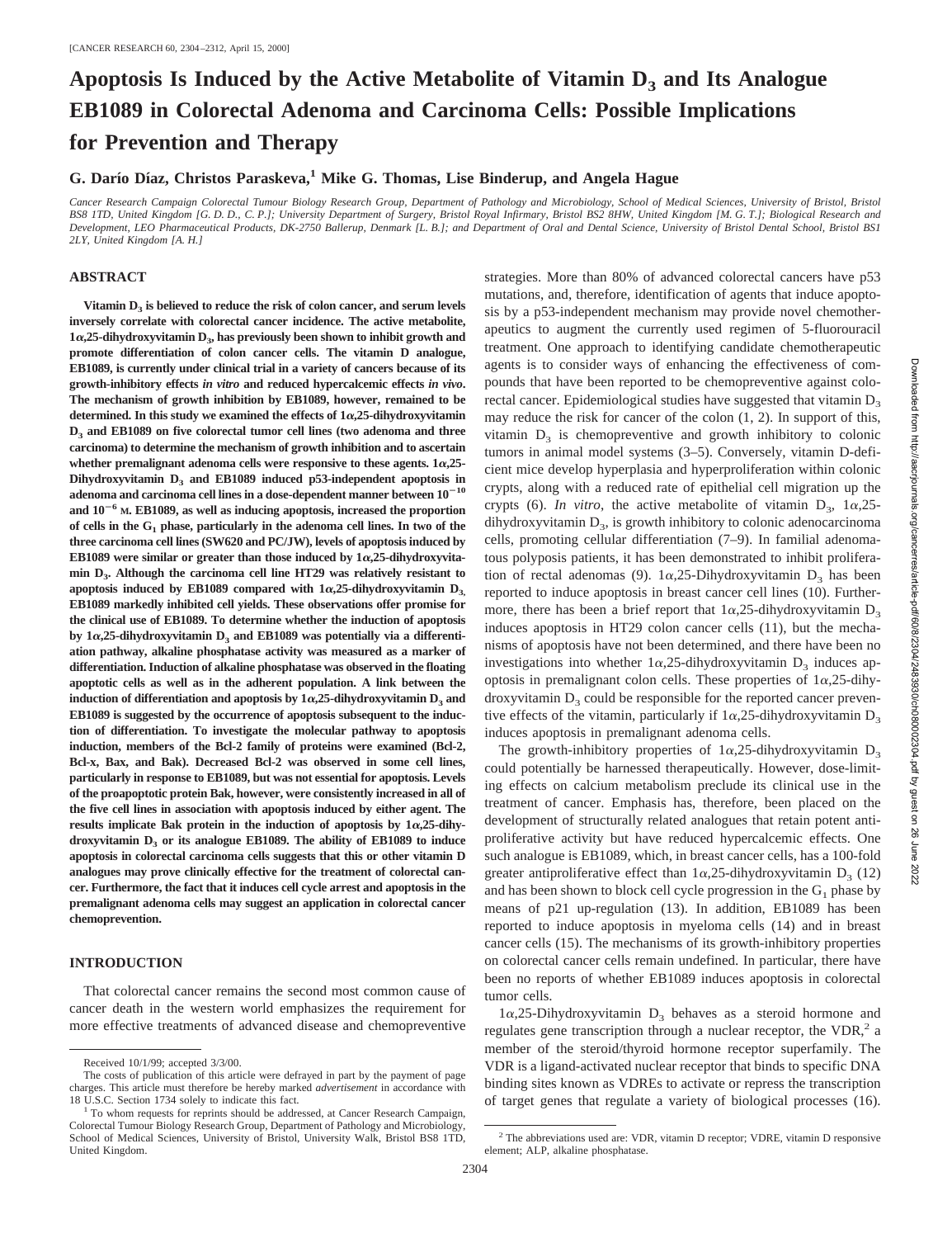# Apoptosis Is Induced by the Active Metabolite of Vitamin D<sub>3</sub> and Its Analogue **EB1089 in Colorectal Adenoma and Carcinoma Cells: Possible Implications for Prevention and Therapy**

# **G. Darı´o Dı´az, Christos Paraskeva,1 Mike G. Thomas, Lise Binderup, and Angela Hague**

*Cancer Research Campaign Colorectal Tumour Biology Research Group, Department of Pathology and Microbiology, School of Medical Sciences, University of Bristol, Bristol BS8 1TD, United Kingdom [G. D. D., C. P.]; University Department of Surgery, Bristol Royal Infirmary, Bristol BS2 8HW, United Kingdom [M. G. T.]; Biological Research and Development, LEO Pharmaceutical Products, DK-2750 Ballerup, Denmark [L. B.]; and Department of Oral and Dental Science, University of Bristol Dental School, Bristol BS1 2LY, United Kingdom [A. H.]*

## **ABSTRACT**

Vitamin  $D_3$  is believed to reduce the risk of colon cancer, and serum levels **inversely correlate with colorectal cancer incidence. The active metabolite,**  $1\alpha$ , 25-dihydroxyvitamin D<sub>3</sub>, has previously been shown to inhibit growth and **promote differentiation of colon cancer cells. The vitamin D analogue, EB1089, is currently under clinical trial in a variety of cancers because of its growth-inhibitory effects** *in vitro* **and reduced hypercalcemic effects** *in vivo***. The mechanism of growth inhibition by EB1089, however, remained to be determined. In this study we examined the effects of 1**a**,25-dihydroxyvitamin D3 and EB1089 on five colorectal tumor cell lines (two adenoma and three carcinoma) to determine the mechanism of growth inhibition and to ascertain** whether premalignant adenoma cells were responsive to these agents.  $1\alpha,25$ -Dihydroxyvitamin D<sub>3</sub> and EB1089 induced p53-independent apoptosis in  $a$ denoma and carcinoma cell lines in a dose-dependent manner between  $10^{-10}$ **and 10**2**<sup>6</sup> M. EB1089, as well as inducing apoptosis, increased the proportion of cells in the G1 phase, particularly in the adenoma cell lines. In two of the three carcinoma cell lines (SW620 and PC/JW), levels of apoptosis induced by** EB1089 were similar or greater than those induced by  $1\alpha$ , 25-dihydroxyvita**min D3. Although the carcinoma cell line HT29 was relatively resistant to** apoptosis induced by EB1089 compared with  $1\alpha$ , 25-dihydroxyvitamin  $D_3$ , **EB1089 markedly inhibited cell yields. These observations offer promise for the clinical use of EB1089. To determine whether the induction of apoptosis** by  $1\alpha$ , 25-dihydroxyvitamin  $D_3$  and EB1089 was potentially via a differenti**ation pathway, alkaline phosphatase activity was measured as a marker of differentiation. Induction of alkaline phosphatase was observed in the floating apoptotic cells as well as in the adherent population. A link between the** induction of differentiation and apoptosis by  $1\alpha$ , 25-dihydroxyvitamin  $D_3$  and **EB1089 is suggested by the occurrence of apoptosis subsequent to the induction of differentiation. To investigate the molecular pathway to apoptosis induction, members of the Bcl-2 family of proteins were examined (Bcl-2, Bcl-x, Bax, and Bak). Decreased Bcl-2 was observed in some cell lines, particularly in response to EB1089, but was not essential for apoptosis. Levels of the proapoptotic protein Bak, however, were consistently increased in all of the five cell lines in association with apoptosis induced by either agent. The** results implicate Bak protein in the induction of apoptosis by  $1\alpha,25$ -dihydroxyvitamin D<sub>3</sub> or its analogue EB1089. The ability of EB1089 to induce **apoptosis in colorectal carcinoma cells suggests that this or other vitamin D analogues may prove clinically effective for the treatment of colorectal cancer. Furthermore, the fact that it induces cell cycle arrest and apoptosis in the premalignant adenoma cells may suggest an application in colorectal cancer chemoprevention.**

# **INTRODUCTION**

That colorectal cancer remains the second most common cause of cancer death in the western world emphasizes the requirement for more effective treatments of advanced disease and chemopreventive strategies. More than 80% of advanced colorectal cancers have p53 mutations, and, therefore, identification of agents that induce apoptosis by a p53-independent mechanism may provide novel chemotherapeutics to augment the currently used regimen of 5-fluorouracil treatment. One approach to identifying candidate chemotherapeutic agents is to consider ways of enhancing the effectiveness of compounds that have been reported to be chemopreventive against colorectal cancer. Epidemiological studies have suggested that vitamin  $D_3$ may reduce the risk for cancer of the colon (1, 2). In support of this, vitamin  $D_3$  is chemopreventive and growth inhibitory to colonic tumors in animal model systems (3–5). Conversely, vitamin D-deficient mice develop hyperplasia and hyperproliferation within colonic crypts, along with a reduced rate of epithelial cell migration up the crypts (6). *In vitro*, the active metabolite of vitamin  $D_3$ ,  $1\alpha$ ,  $25$ dihydroxyvitamin  $D_3$ , is growth inhibitory to colonic adenocarcinoma cells, promoting cellular differentiation (7–9). In familial adenomatous polyposis patients, it has been demonstrated to inhibit proliferation of rectal adenomas (9).  $1\alpha$ , 25-Dihydroxyvitamin D<sub>3</sub> has been reported to induce apoptosis in breast cancer cell lines (10). Furthermore, there has been a brief report that  $1\alpha$ , 25-dihydroxyvitamin D<sub>3</sub> induces apoptosis in HT29 colon cancer cells (11), but the mechanisms of apoptosis have not been determined, and there have been no investigations into whether  $1\alpha$ , 25-dihydroxyvitamin  $D_3$  induces apoptosis in premalignant colon cells. These properties of  $1\alpha$ , 25-dihydroxyvitamin  $D_3$  could be responsible for the reported cancer preventive effects of the vitamin, particularly if  $1\alpha$ , 25-dihydroxyvitamin D<sub>3</sub> induces apoptosis in premalignant adenoma cells.

The growth-inhibitory properties of  $1\alpha$ , 25-dihydroxyvitamin D<sub>3</sub> could potentially be harnessed therapeutically. However, dose-limiting effects on calcium metabolism preclude its clinical use in the treatment of cancer. Emphasis has, therefore, been placed on the development of structurally related analogues that retain potent antiproliferative activity but have reduced hypercalcemic effects. One such analogue is EB1089, which, in breast cancer cells, has a 100-fold greater antiproliferative effect than  $1\alpha$ , 25-dihydroxyvitamin D<sub>3</sub> (12) and has been shown to block cell cycle progression in the  $G_1$  phase by means of p21 up-regulation (13). In addition, EB1089 has been reported to induce apoptosis in myeloma cells (14) and in breast cancer cells (15). The mechanisms of its growth-inhibitory properties on colorectal cancer cells remain undefined. In particular, there have been no reports of whether EB1089 induces apoptosis in colorectal tumor cells.

 $1\alpha$ ,25-Dihydroxyvitamin D<sub>3</sub> behaves as a steroid hormone and regulates gene transcription through a nuclear receptor, the  $VDR<sup>2</sup>$  a member of the steroid/thyroid hormone receptor superfamily. The VDR is a ligand-activated nuclear receptor that binds to specific DNA binding sites known as VDREs to activate or repress the transcription of target genes that regulate a variety of biological processes (16).

Received 10/1/99; accepted 3/3/00.

The costs of publication of this article were defrayed in part by the payment of page charges. This article must therefore be hereby marked *advertisement* in accordance with

 $1$  To whom requests for reprints should be addressed, at Cancer Research Campaign, Colorectal Tumour Biology Research Group, Department of Pathology and Microbiology, School of Medical Sciences, University of Bristol, University Walk, Bristol BS8 1TD, United Kingdom.

<sup>&</sup>lt;sup>2</sup> The abbreviations used are: VDR, vitamin D receptor; VDRE, vitamin D responsive element; ALP, alkaline phosphatase.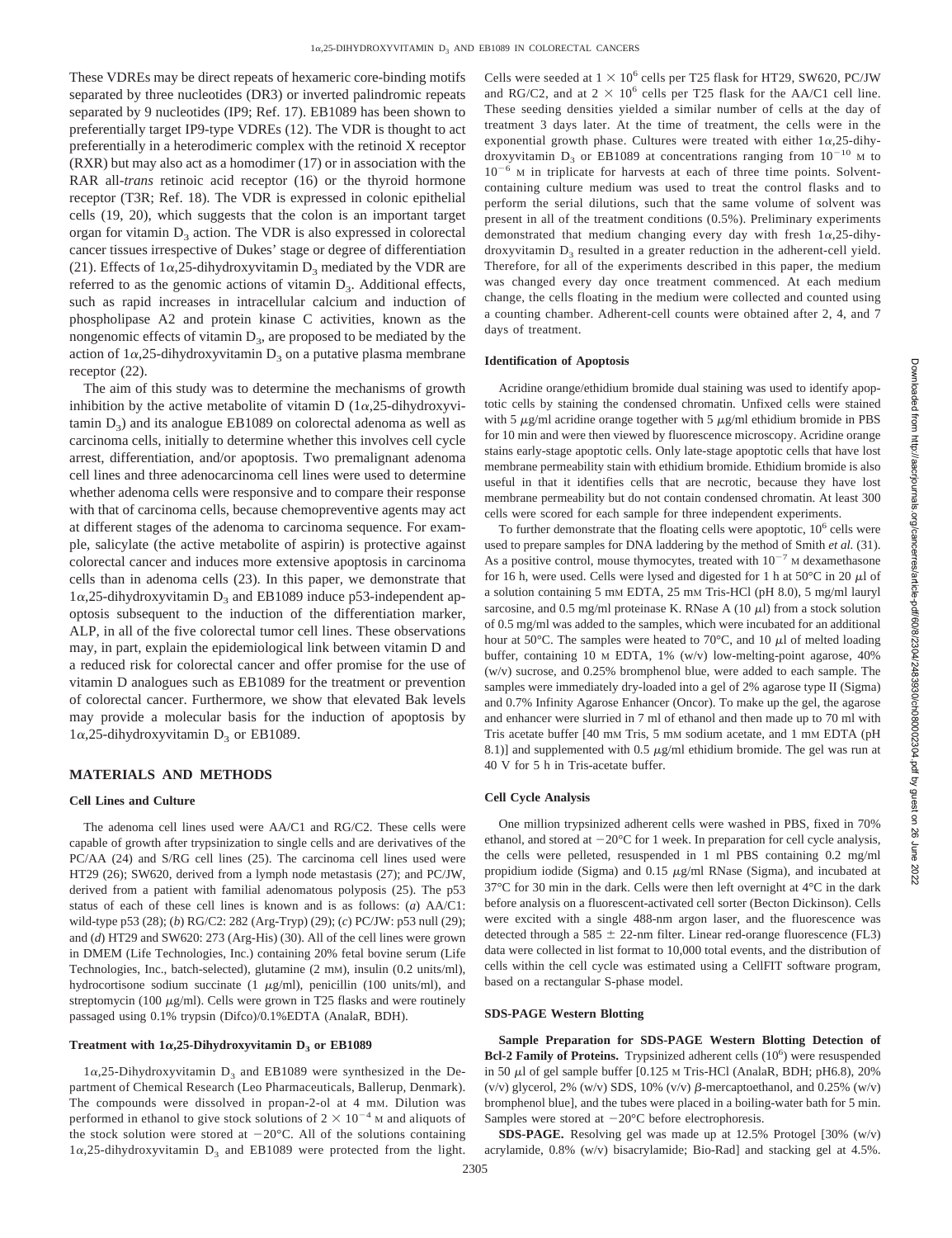These VDREs may be direct repeats of hexameric core-binding motifs separated by three nucleotides (DR3) or inverted palindromic repeats separated by 9 nucleotides (IP9; Ref. 17). EB1089 has been shown to preferentially target IP9-type VDREs (12). The VDR is thought to act preferentially in a heterodimeric complex with the retinoid X receptor (RXR) but may also act as a homodimer (17) or in association with the RAR all-*trans* retinoic acid receptor (16) or the thyroid hormone receptor (T3R; Ref. 18). The VDR is expressed in colonic epithelial cells (19, 20), which suggests that the colon is an important target organ for vitamin  $D_3$  action. The VDR is also expressed in colorectal cancer tissues irrespective of Dukes' stage or degree of differentiation (21). Effects of  $1\alpha$ , 25-dihydroxyvitamin  $D_3$  mediated by the VDR are referred to as the genomic actions of vitamin  $D_3$ . Additional effects, such as rapid increases in intracellular calcium and induction of phospholipase A2 and protein kinase C activities, known as the nongenomic effects of vitamin  $D_3$ , are proposed to be mediated by the action of  $1\alpha$ ,25-dihydroxyvitamin D<sub>3</sub> on a putative plasma membrane receptor (22).

The aim of this study was to determine the mechanisms of growth inhibition by the active metabolite of vitamin D  $(1\alpha, 25$ -dihydroxyvitamin  $D_3$ ) and its analogue EB1089 on colorectal adenoma as well as carcinoma cells, initially to determine whether this involves cell cycle arrest, differentiation, and/or apoptosis. Two premalignant adenoma cell lines and three adenocarcinoma cell lines were used to determine whether adenoma cells were responsive and to compare their response with that of carcinoma cells, because chemopreventive agents may act at different stages of the adenoma to carcinoma sequence. For example, salicylate (the active metabolite of aspirin) is protective against colorectal cancer and induces more extensive apoptosis in carcinoma cells than in adenoma cells (23). In this paper, we demonstrate that  $1\alpha$ ,25-dihydroxyvitamin D<sub>3</sub> and EB1089 induce p53-independent apoptosis subsequent to the induction of the differentiation marker, ALP, in all of the five colorectal tumor cell lines. These observations may, in part, explain the epidemiological link between vitamin D and a reduced risk for colorectal cancer and offer promise for the use of vitamin D analogues such as EB1089 for the treatment or prevention of colorectal cancer. Furthermore, we show that elevated Bak levels may provide a molecular basis for the induction of apoptosis by  $1\alpha$ ,25-dihydroxyvitamin D<sub>3</sub> or EB1089.

## **MATERIALS AND METHODS**

#### **Cell Lines and Culture**

The adenoma cell lines used were AA/C1 and RG/C2. These cells were capable of growth after trypsinization to single cells and are derivatives of the PC/AA (24) and S/RG cell lines (25). The carcinoma cell lines used were HT29 (26); SW620, derived from a lymph node metastasis (27); and PC/JW, derived from a patient with familial adenomatous polyposis (25). The p53 status of each of these cell lines is known and is as follows: (*a*) AA/C1: wild-type p53 (28); (*b*) RG/C2: 282 (Arg-Tryp) (29); (*c*) PC/JW: p53 null (29); and (*d*) HT29 and SW620: 273 (Arg-His) (30). All of the cell lines were grown in DMEM (Life Technologies, Inc.) containing 20% fetal bovine serum (Life Technologies, Inc., batch-selected), glutamine (2 mM), insulin (0.2 units/ml), hydrocortisone sodium succinate (1  $\mu$ g/ml), penicillin (100 units/ml), and streptomycin (100  $\mu$ g/ml). Cells were grown in T25 flasks and were routinely passaged using 0.1% trypsin (Difco)/0.1%EDTA (AnalaR, BDH).

# Treatment with  $1\alpha$ , 25-Dihydroxyvitamin  $D_3$  or EB1089

 $1\alpha$ ,25-Dihydroxyvitamin D<sub>3</sub> and EB1089 were synthesized in the Department of Chemical Research (Leo Pharmaceuticals, Ballerup, Denmark). The compounds were dissolved in propan-2-ol at 4 mM. Dilution was performed in ethanol to give stock solutions of  $2 \times 10^{-4}$  M and aliquots of the stock solution were stored at  $-20^{\circ}$ C. All of the solutions containing  $1\alpha$ ,25-dihydroxyvitamin D<sub>3</sub> and EB1089 were protected from the light. Cells were seeded at  $1 \times 10^6$  cells per T25 flask for HT29, SW620, PC/JW and RG/C2, and at  $2 \times 10^6$  cells per T25 flask for the AA/C1 cell line. These seeding densities yielded a similar number of cells at the day of treatment 3 days later. At the time of treatment, the cells were in the exponential growth phase. Cultures were treated with either  $1\alpha,25$ -dihydroxyvitamin  $D_3$  or EB1089 at concentrations ranging from  $10^{-10}$  M to  $10^{-6}$  M in triplicate for harvests at each of three time points. Solventcontaining culture medium was used to treat the control flasks and to perform the serial dilutions, such that the same volume of solvent was present in all of the treatment conditions (0.5%). Preliminary experiments demonstrated that medium changing every day with fresh  $1\alpha,25$ -dihydroxyvitamin  $D_3$  resulted in a greater reduction in the adherent-cell yield. Therefore, for all of the experiments described in this paper, the medium was changed every day once treatment commenced. At each medium change, the cells floating in the medium were collected and counted using a counting chamber. Adherent-cell counts were obtained after 2, 4, and 7 days of treatment.

#### **Identification of Apoptosis**

Acridine orange/ethidium bromide dual staining was used to identify apoptotic cells by staining the condensed chromatin. Unfixed cells were stained with 5  $\mu$ g/ml acridine orange together with 5  $\mu$ g/ml ethidium bromide in PBS for 10 min and were then viewed by fluorescence microscopy. Acridine orange stains early-stage apoptotic cells. Only late-stage apoptotic cells that have lost membrane permeability stain with ethidium bromide. Ethidium bromide is also useful in that it identifies cells that are necrotic, because they have lost membrane permeability but do not contain condensed chromatin. At least 300 cells were scored for each sample for three independent experiments.

To further demonstrate that the floating cells were apoptotic,  $10<sup>6</sup>$  cells were used to prepare samples for DNA laddering by the method of Smith *et al.* (31). As a positive control, mouse thymocytes, treated with  $10^{-7}$  M dexamethasone for 16 h, were used. Cells were lysed and digested for 1 h at  $50^{\circ}$ C in 20  $\mu$ l of a solution containing 5 mM EDTA, 25 mM Tris-HCl (pH 8.0), 5 mg/ml lauryl sarcosine, and 0.5 mg/ml proteinase K. RNase A (10  $\mu$ l) from a stock solution of 0.5 mg/ml was added to the samples, which were incubated for an additional hour at 50 $^{\circ}$ C. The samples were heated to 70 $^{\circ}$ C, and 10  $\mu$ l of melted loading buffer, containing 10 M EDTA, 1% (w/v) low-melting-point agarose, 40% (w/v) sucrose, and 0.25% bromphenol blue, were added to each sample. The samples were immediately dry-loaded into a gel of 2% agarose type II (Sigma) and 0.7% Infinity Agarose Enhancer (Oncor). To make up the gel, the agarose and enhancer were slurried in 7 ml of ethanol and then made up to 70 ml with Tris acetate buffer [40 mM Tris, 5 mM sodium acetate, and 1 mM EDTA (pH 8.1)] and supplemented with 0.5  $\mu$ g/ml ethidium bromide. The gel was run at 40 V for 5 h in Tris-acetate buffer.

#### **Cell Cycle Analysis**

One million trypsinized adherent cells were washed in PBS, fixed in 70% ethanol, and stored at  $-20^{\circ}$ C for 1 week. In preparation for cell cycle analysis, the cells were pelleted, resuspended in 1 ml PBS containing 0.2 mg/ml propidium iodide (Sigma) and  $0.15 \mu g/ml$  RNase (Sigma), and incubated at 37°C for 30 min in the dark. Cells were then left overnight at 4°C in the dark before analysis on a fluorescent-activated cell sorter (Becton Dickinson). Cells were excited with a single 488-nm argon laser, and the fluorescence was detected through a 585  $\pm$  22-nm filter. Linear red-orange fluorescence (FL3) data were collected in list format to 10,000 total events, and the distribution of cells within the cell cycle was estimated using a CellFIT software program, based on a rectangular S-phase model.

## **SDS-PAGE Western Blotting**

**Sample Preparation for SDS-PAGE Western Blotting Detection of** Bcl-2 Family of Proteins. Trypsinized adherent cells (10<sup>6</sup>) were resuspended in 50  $\mu$ l of gel sample buffer [0.125 M Tris-HCl (AnalaR, BDH; pH6.8), 20% (v/v) glycerol, 2% (w/v) SDS, 10% (v/v)  $\beta$ -mercaptoethanol, and 0.25% (w/v) bromphenol blue], and the tubes were placed in a boiling-water bath for 5 min. Samples were stored at  $-20^{\circ}$ C before electrophoresis.

**SDS-PAGE.** Resolving gel was made up at 12.5% Protogel [30% (w/v) acrylamide, 0.8% (w/v) bisacrylamide; Bio-Rad] and stacking gel at 4.5%.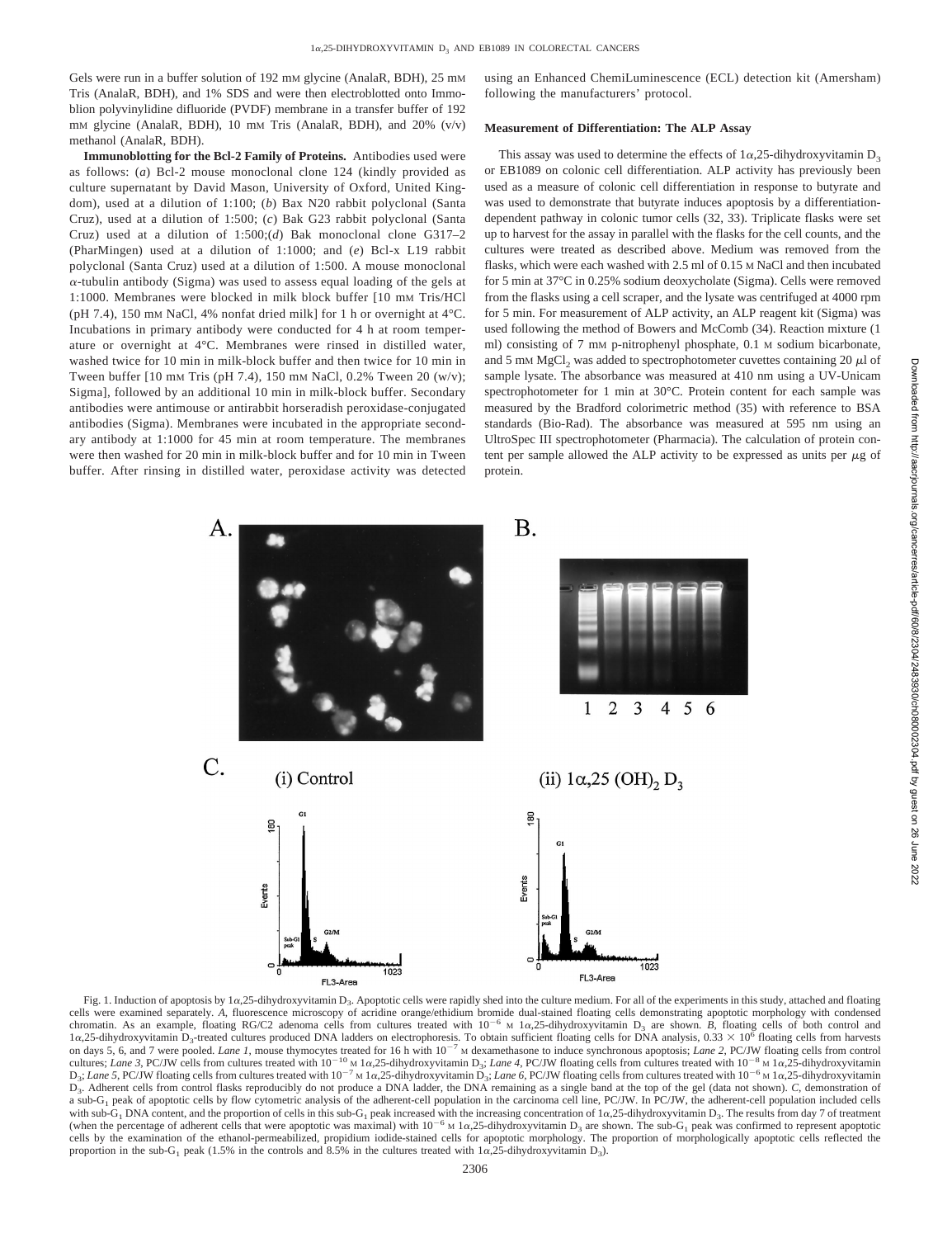Gels were run in a buffer solution of 192 mm glycine (AnalaR, BDH), 25 mm Tris (AnalaR, BDH), and 1% SDS and were then electroblotted onto Immoblion polyvinylidine difluoride (PVDF) membrane in a transfer buffer of 192 mM glycine (AnalaR, BDH), 10 mM Tris (AnalaR, BDH), and 20% (v/v) methanol (AnalaR, BDH).

**Immunoblotting for the Bcl-2 Family of Proteins.** Antibodies used were as follows: (*a*) Bcl-2 mouse monoclonal clone 124 (kindly provided as culture supernatant by David Mason, University of Oxford, United Kingdom), used at a dilution of 1:100; (*b*) Bax N20 rabbit polyclonal (Santa Cruz), used at a dilution of 1:500; (*c*) Bak G23 rabbit polyclonal (Santa Cruz) used at a dilution of 1:500;(*d*) Bak monoclonal clone G317–2 (PharMingen) used at a dilution of 1:1000; and (*e*) Bcl-x L19 rabbit polyclonal (Santa Cruz) used at a dilution of 1:500. A mouse monoclonal  $\alpha$ -tubulin antibody (Sigma) was used to assess equal loading of the gels at 1:1000. Membranes were blocked in milk block buffer [10 mM Tris/HCl (pH 7.4), 150 mM NaCl, 4% nonfat dried milk] for 1 h or overnight at 4°C. Incubations in primary antibody were conducted for 4 h at room temperature or overnight at 4°C. Membranes were rinsed in distilled water, washed twice for 10 min in milk-block buffer and then twice for 10 min in Tween buffer [10 mm Tris (pH 7.4), 150 mm NaCl, 0.2% Tween 20 (w/v); Sigma], followed by an additional 10 min in milk-block buffer. Secondary antibodies were antimouse or antirabbit horseradish peroxidase-conjugated antibodies (Sigma). Membranes were incubated in the appropriate secondary antibody at 1:1000 for 45 min at room temperature. The membranes were then washed for 20 min in milk-block buffer and for 10 min in Tween buffer. After rinsing in distilled water, peroxidase activity was detected using an Enhanced ChemiLuminescence (ECL) detection kit (Amersham) following the manufacturers' protocol.

#### **Measurement of Differentiation: The ALP Assay**

This assay was used to determine the effects of  $1\alpha$ , 25-dihydroxyvitamin D<sub>3</sub> or EB1089 on colonic cell differentiation. ALP activity has previously been used as a measure of colonic cell differentiation in response to butyrate and was used to demonstrate that butyrate induces apoptosis by a differentiationdependent pathway in colonic tumor cells (32, 33). Triplicate flasks were set up to harvest for the assay in parallel with the flasks for the cell counts, and the cultures were treated as described above. Medium was removed from the flasks, which were each washed with 2.5 ml of 0.15 M NaCl and then incubated for 5 min at 37°C in 0.25% sodium deoxycholate (Sigma). Cells were removed from the flasks using a cell scraper, and the lysate was centrifuged at 4000 rpm for 5 min. For measurement of ALP activity, an ALP reagent kit (Sigma) was used following the method of Bowers and McComb (34). Reaction mixture (1 ml) consisting of 7 mM p-nitrophenyl phosphate, 0.1 M sodium bicarbonate, and 5 mM  $MgCl<sub>2</sub>$  was added to spectrophotometer cuvettes containing 20  $\mu$ l of sample lysate. The absorbance was measured at 410 nm using a UV-Unicam spectrophotometer for 1 min at 30°C. Protein content for each sample was measured by the Bradford colorimetric method (35) with reference to BSA standards (Bio-Rad). The absorbance was measured at 595 nm using an UltroSpec III spectrophotometer (Pharmacia). The calculation of protein content per sample allowed the ALP activity to be expressed as units per  $\mu$ g of protein.



cells were examined separately. A, fluorescence microscopy of acridine orange/ethidium bromide dual-stained floating cells demonstrating apoptotic morphology with condensed chromatin. As an example, floating RG/C2 adenoma cells from cultures treated with  $10^{-6}$  M 1 $\alpha$ , 25-dihydroxyvitamin D<sub>3</sub> are shown. *B*, floating cells of both control and  $1\alpha$ ,25-dihydroxyvitamin D<sub>3</sub>-treated cultures produced DNA ladders on electrophoresis. To obtain sufficient floating cells for DNA analysis, 0.33  $\times$  10<sup>6</sup> floating cells from harvests on days 5, 6, and 7 were pooled. *Lane 1*, mouse thymocytes treated for 16 h with  $10^{-7}$  M dexamethasone to induce synchronous apoptosis; *Lane 2*, PC/JW floating cells from control cultures; *Lane 3*, PC/JW cells from cultures treated with  $10^{-10}$  M 1a,25-dihydroxyvitamin D<sub>3</sub>; *Lane 4*, PC/JW floating cells from cultures treated with  $10^{-8}$  M 1a,25-dihydroxyvitamin D<sub>3</sub>; *Lane 5*, PC/JW floating cells from cultures treated with  $10^{-7}$  M 1a,25-dihydroxyvitamin D<sub>3</sub>; *Lane 6*, PC/JW floating cells from cultures treated with  $10^{-6}$  M 1a,25-dihydroxyvitamin D3. Adherent cells from control flasks reproducibly do not produce a DNA ladder, the DNA remaining as a single band at the top of the gel (data not shown). *C*, demonstration of a sub-G<sub>1</sub> peak of apoptotic cells by flow cytometric analysis of the adherent-cell population in the carcinoma cell line, PC/JW. In PC/JW, the adherent-cell population included cells with sub-G<sub>1</sub> DNA content, and the proportion of cells in this sub-G<sub>1</sub> peak increased with the increasing concentration of 1 $\alpha$ , 25-dihydroxyvitamin D<sub>3</sub>. The results from day 7 of treatment (when the percentage of adhe cells by the examination of the ethanol-permeabilized, propidium iodide-stained cells for apoptotic morphology. The proportion of morphologically apoptotic cells reflected the proportion in the sub-G<sub>1</sub> peak (1.5% in the controls and 8.5% in the cultures treated with  $1\alpha,25$ -dihydroxyvitamin D<sub>3</sub>).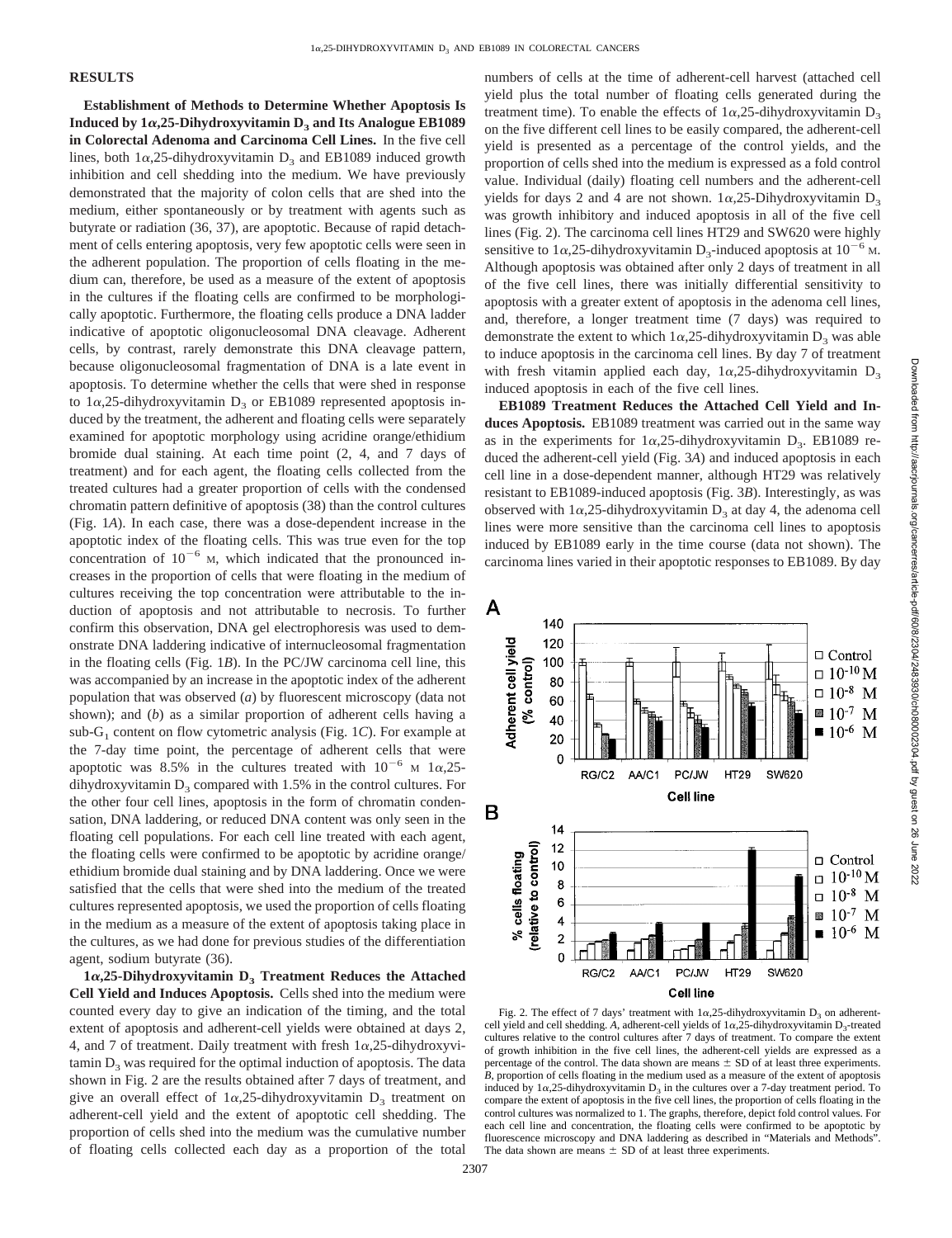# **RESULTS**

**Establishment of Methods to Determine Whether Apoptosis Is Induced by 1** $\alpha$ **,25-Dihydroxyvitamin**  $D_3$  **and Its Analogue EB1089 in Colorectal Adenoma and Carcinoma Cell Lines.** In the five cell lines, both  $1\alpha$ , 25-dihydroxyvitamin  $D_3$  and EB1089 induced growth inhibition and cell shedding into the medium. We have previously demonstrated that the majority of colon cells that are shed into the medium, either spontaneously or by treatment with agents such as butyrate or radiation (36, 37), are apoptotic. Because of rapid detachment of cells entering apoptosis, very few apoptotic cells were seen in the adherent population. The proportion of cells floating in the medium can, therefore, be used as a measure of the extent of apoptosis in the cultures if the floating cells are confirmed to be morphologically apoptotic. Furthermore, the floating cells produce a DNA ladder indicative of apoptotic oligonucleosomal DNA cleavage. Adherent cells, by contrast, rarely demonstrate this DNA cleavage pattern, because oligonucleosomal fragmentation of DNA is a late event in apoptosis. To determine whether the cells that were shed in response to  $1\alpha$ , 25-dihydroxyvitamin  $D_3$  or EB1089 represented apoptosis induced by the treatment, the adherent and floating cells were separately examined for apoptotic morphology using acridine orange/ethidium bromide dual staining. At each time point (2, 4, and 7 days of treatment) and for each agent, the floating cells collected from the treated cultures had a greater proportion of cells with the condensed chromatin pattern definitive of apoptosis (38) than the control cultures (Fig. 1*A*). In each case, there was a dose-dependent increase in the apoptotic index of the floating cells. This was true even for the top concentration of  $10^{-6}$  M, which indicated that the pronounced increases in the proportion of cells that were floating in the medium of cultures receiving the top concentration were attributable to the induction of apoptosis and not attributable to necrosis. To further confirm this observation, DNA gel electrophoresis was used to demonstrate DNA laddering indicative of internucleosomal fragmentation in the floating cells (Fig. 1*B*). In the PC/JW carcinoma cell line, this was accompanied by an increase in the apoptotic index of the adherent population that was observed (*a*) by fluorescent microscopy (data not shown); and (*b*) as a similar proportion of adherent cells having a  $sub-G<sub>1</sub>$  content on flow cytometric analysis (Fig. 1*C*). For example at the 7-day time point, the percentage of adherent cells that were apoptotic was 8.5% in the cultures treated with  $10^{-6}$  M  $1\alpha$ , 25dihydroxyvitamin  $D_3$  compared with 1.5% in the control cultures. For the other four cell lines, apoptosis in the form of chromatin condensation, DNA laddering, or reduced DNA content was only seen in the floating cell populations. For each cell line treated with each agent, the floating cells were confirmed to be apoptotic by acridine orange/ ethidium bromide dual staining and by DNA laddering. Once we were satisfied that the cells that were shed into the medium of the treated cultures represented apoptosis, we used the proportion of cells floating in the medium as a measure of the extent of apoptosis taking place in the cultures, as we had done for previous studies of the differentiation agent, sodium butyrate (36).

 $1\alpha$ , 25-Dihydroxyvitamin D<sub>3</sub> Treatment Reduces the Attached **Cell Yield and Induces Apoptosis.** Cells shed into the medium were counted every day to give an indication of the timing, and the total extent of apoptosis and adherent-cell yields were obtained at days 2, 4, and 7 of treatment. Daily treatment with fresh  $1\alpha$ , 25-dihydroxyvitamin  $D_3$  was required for the optimal induction of apoptosis. The data shown in Fig. 2 are the results obtained after 7 days of treatment, and give an overall effect of  $1\alpha,25$ -dihydroxyvitamin  $D_3$  treatment on adherent-cell yield and the extent of apoptotic cell shedding. The proportion of cells shed into the medium was the cumulative number of floating cells collected each day as a proportion of the total numbers of cells at the time of adherent-cell harvest (attached cell yield plus the total number of floating cells generated during the treatment time). To enable the effects of  $1\alpha$ , 25-dihydroxyvitamin D<sub>3</sub> on the five different cell lines to be easily compared, the adherent-cell yield is presented as a percentage of the control yields, and the proportion of cells shed into the medium is expressed as a fold control value. Individual (daily) floating cell numbers and the adherent-cell yields for days 2 and 4 are not shown.  $1\alpha$ , 25-Dihydroxyvitamin D<sub>3</sub> was growth inhibitory and induced apoptosis in all of the five cell lines (Fig. 2). The carcinoma cell lines HT29 and SW620 were highly sensitive to  $1\alpha$ , 25-dihydroxyvitamin D<sub>3</sub>-induced apoptosis at  $10^{-6}$  M. Although apoptosis was obtained after only 2 days of treatment in all of the five cell lines, there was initially differential sensitivity to apoptosis with a greater extent of apoptosis in the adenoma cell lines, and, therefore, a longer treatment time (7 days) was required to demonstrate the extent to which  $1\alpha$ , 25-dihydroxyvitamin  $D_3$  was able to induce apoptosis in the carcinoma cell lines. By day 7 of treatment with fresh vitamin applied each day,  $1\alpha$ , 25-dihydroxyvitamin D<sub>3</sub> induced apoptosis in each of the five cell lines.

**EB1089 Treatment Reduces the Attached Cell Yield and Induces Apoptosis.** EB1089 treatment was carried out in the same way as in the experiments for  $1\alpha$ , 25-dihydroxyvitamin D<sub>3</sub>. EB1089 reduced the adherent-cell yield (Fig. 3*A*) and induced apoptosis in each cell line in a dose-dependent manner, although HT29 was relatively resistant to EB1089-induced apoptosis (Fig. 3*B*). Interestingly, as was observed with  $1\alpha$ , 25-dihydroxyvitamin  $D_3$  at day 4, the adenoma cell lines were more sensitive than the carcinoma cell lines to apoptosis induced by EB1089 early in the time course (data not shown). The carcinoma lines varied in their apoptotic responses to EB1089. By day



Fig. 2. The effect of 7 days' treatment with  $1\alpha$ , 25-dihydroxyvitamin  $D_3$  on adherentcell yield and cell shedding. A, adherent-cell yields of  $1\alpha$ , 25-dihydroxyvitamin D<sub>3</sub>-treated cultures relative to the control cultures after 7 days of treatment. To compare the extent of growth inhibition in the five cell lines, the adherent-cell yields are expressed as a percentage of the control. The data shown are means  $\pm$  SD of at least three experiments. *B*, proportion of cells floating in the medium used as a measure of the extent of apoptosis induced by  $1\alpha$ ,25-dihydroxyvitamin  $D_3$  in the cultures over a 7-day treatment period. To compare the extent of apoptosis in the five cell lines, the proportion of cells floating in the control cultures was normalized to 1. The graphs, therefore, depict fold control values. For each cell line and concentration, the floating cells were confirmed to be apoptotic by fluorescence microscopy and DNA laddering as described in "Materials and Methods". The data shown are means  $\pm$  SD of at least three experiments.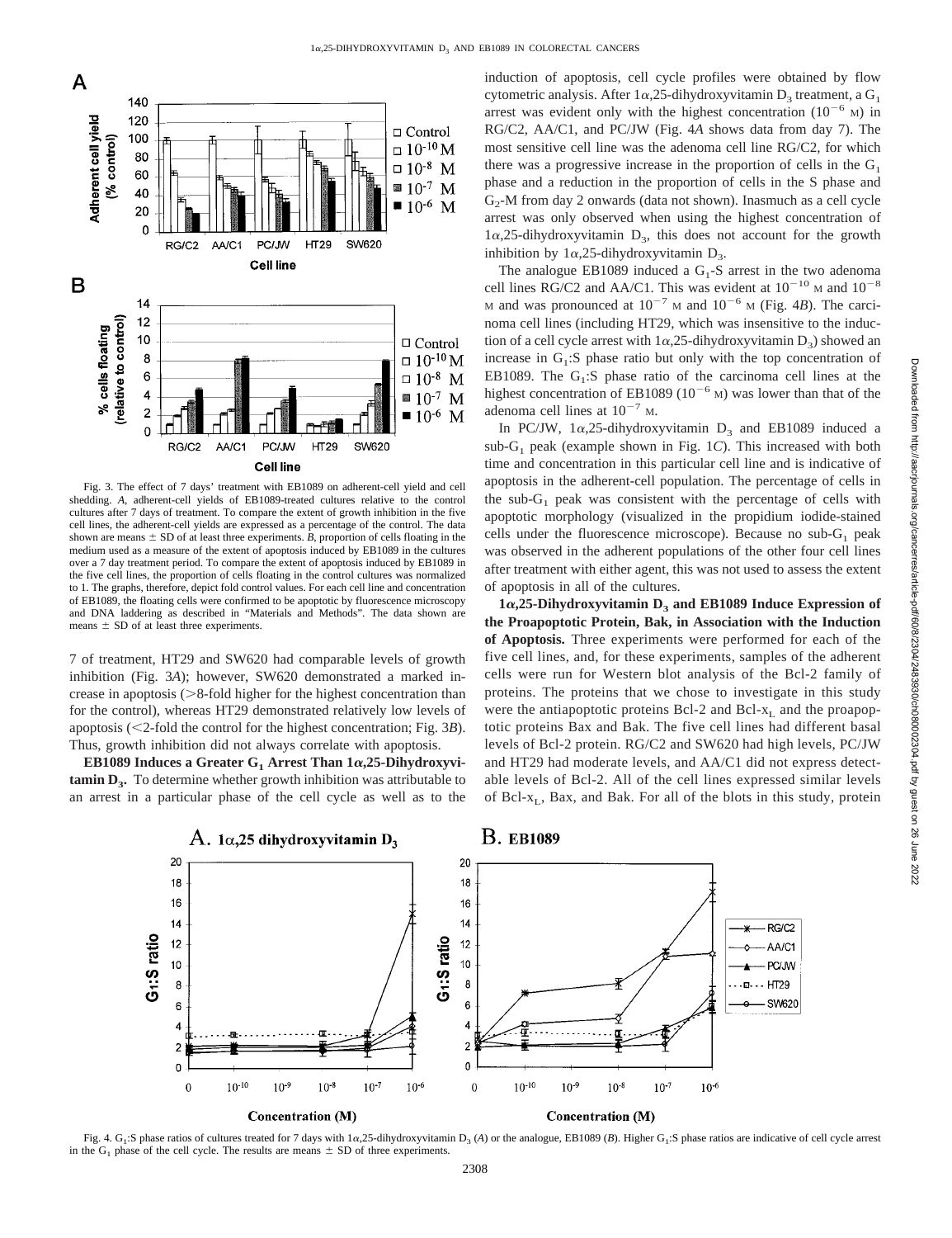

Fig. 3. The effect of 7 days' treatment with EB1089 on adherent-cell yield and cell shedding. *A*, adherent-cell yields of EB1089-treated cultures relative to the control cultures after 7 days of treatment. To compare the extent of growth inhibition in the five cell lines, the adherent-cell yields are expressed as a percentage of the control. The data shown are means  $\pm$  SD of at least three experiments. *B*, proportion of cells floating in the medium used as a measure of the extent of apoptosis induced by EB1089 in the cultures over a 7 day treatment period. To compare the extent of apoptosis induced by EB1089 in the five cell lines, the proportion of cells floating in the control cultures was normalized to 1. The graphs, therefore, depict fold control values. For each cell line and concentration of EB1089, the floating cells were confirmed to be apoptotic by fluorescence microscopy and DNA laddering as described in "Materials and Methods". The data shown are means  $\pm$  SD of at least three experiments.

7 of treatment, HT29 and SW620 had comparable levels of growth inhibition (Fig. 3*A*); however, SW620 demonstrated a marked increase in apoptosis  $(>=8$ -fold higher for the highest concentration than for the control), whereas HT29 demonstrated relatively low levels of apoptosis (<2-fold the control for the highest concentration; Fig. 3*B*). Thus, growth inhibition did not always correlate with apoptosis.

**EB1089** Induces a Greater G<sub>1</sub> Arrest Than  $1\alpha$ , 25-Dihydroxyvi**tamin D<sub>3</sub>.** To determine whether growth inhibition was attributable to an arrest in a particular phase of the cell cycle as well as to the induction of apoptosis, cell cycle profiles were obtained by flow cytometric analysis. After  $1\alpha$ , 25-dihydroxyvitamin D<sub>3</sub> treatment, a G<sub>1</sub> arrest was evident only with the highest concentration  $(10^{-6}$  M) in RG/C2, AA/C1, and PC/JW (Fig. 4*A* shows data from day 7). The most sensitive cell line was the adenoma cell line RG/C2, for which there was a progressive increase in the proportion of cells in the  $G_1$ phase and a reduction in the proportion of cells in the S phase and  $G<sub>2</sub>$ -M from day 2 onwards (data not shown). Inasmuch as a cell cycle arrest was only observed when using the highest concentration of  $1\alpha$ ,25-dihydroxyvitamin D<sub>3</sub>, this does not account for the growth inhibition by  $1\alpha$ , 25-dihydroxyvitamin D<sub>3</sub>.

The analogue EB1089 induced a  $G_1$ -S arrest in the two adenoma cell lines RG/C2 and AA/C1. This was evident at  $10^{-10}$  M and  $10^{-8}$ M and was pronounced at  $10^{-7}$  M and  $10^{-6}$  M (Fig. 4*B*). The carcinoma cell lines (including HT29, which was insensitive to the induction of a cell cycle arrest with  $1\alpha$ , 25-dihydroxyvitamin  $D_3$ ) showed an increase in  $G_1$ : S phase ratio but only with the top concentration of EB1089. The  $G_1$ :S phase ratio of the carcinoma cell lines at the highest concentration of EB1089 ( $10^{-6}$  M) was lower than that of the adenoma cell lines at  $10^{-7}$  M.

In PC/JW,  $1\alpha$ , 25-dihydroxyvitamin  $D_3$  and EB1089 induced a sub-G1 peak (example shown in Fig. 1*C*). This increased with both time and concentration in this particular cell line and is indicative of apoptosis in the adherent-cell population. The percentage of cells in the sub- $G_1$  peak was consistent with the percentage of cells with apoptotic morphology (visualized in the propidium iodide-stained cells under the fluorescence microscope). Because no sub- $G_1$  peak was observed in the adherent populations of the other four cell lines after treatment with either agent, this was not used to assess the extent of apoptosis in all of the cultures.

 $1\alpha$ , 25-Dihydroxyvitamin  $D_3$  and EB1089 Induce Expression of **the Proapoptotic Protein, Bak, in Association with the Induction of Apoptosis.** Three experiments were performed for each of the five cell lines, and, for these experiments, samples of the adherent cells were run for Western blot analysis of the Bcl-2 family of proteins. The proteins that we chose to investigate in this study were the antiapoptotic proteins Bcl-2 and Bcl- $x_L$  and the proapoptotic proteins Bax and Bak. The five cell lines had different basal levels of Bcl-2 protein. RG/C2 and SW620 had high levels, PC/JW and HT29 had moderate levels, and AA/C1 did not express detectable levels of Bcl-2. All of the cell lines expressed similar levels of Bcl- $x_L$ , Bax, and Bak. For all of the blots in this study, protein



Fig. 4. G<sub>1</sub>:S phase ratios of cultures treated for 7 days with 1a,25-dihydroxyvitamin D<sub>3</sub> (*A*) or the analogue, EB1089 (*B*). Higher G<sub>1</sub>:S phase ratios are indicative of cell cycle arrest in the  $G_1$  phase of the cell cycle. The results are means  $\pm$  SD of three experiments.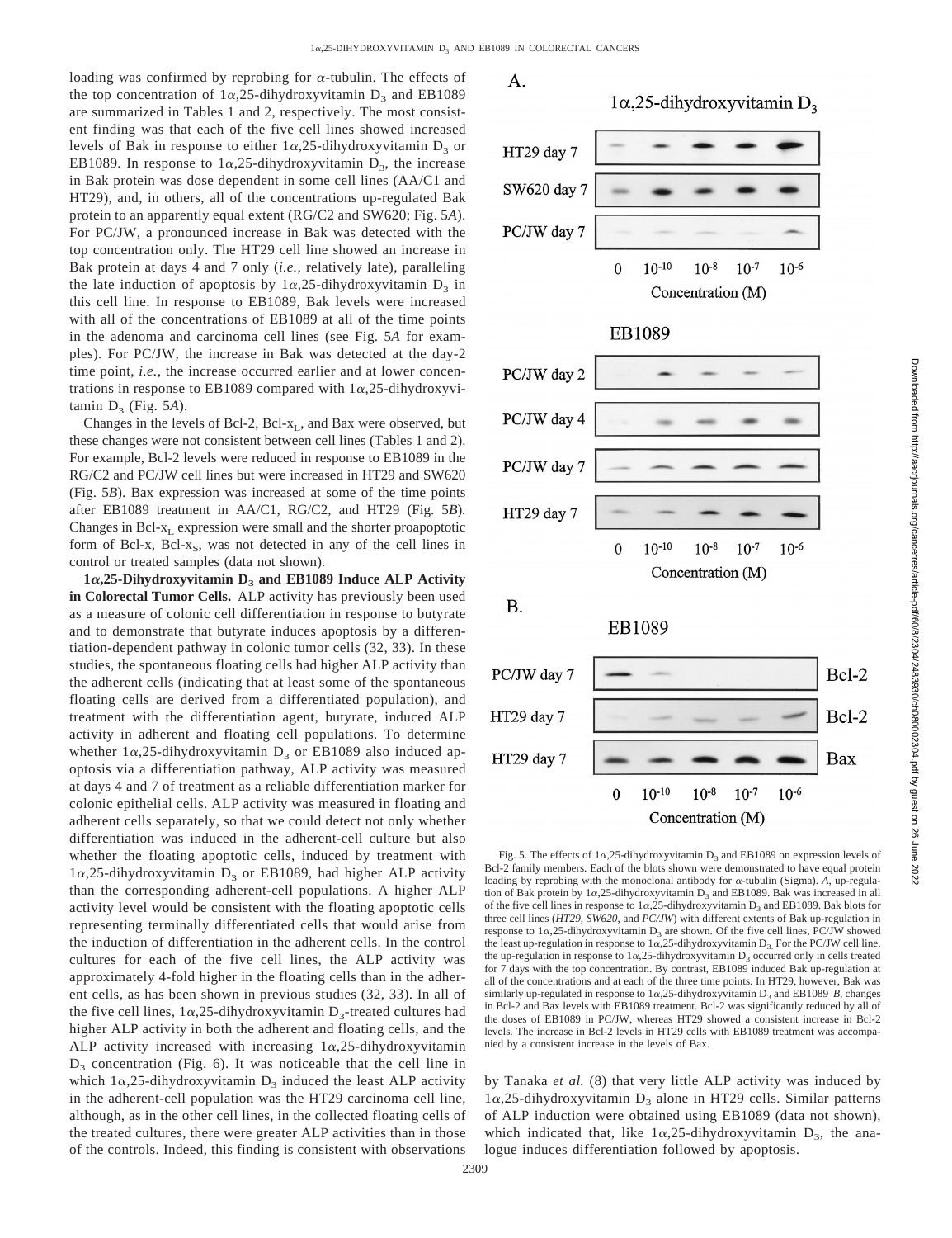loading was confirmed by reprobing for  $\alpha$ -tubulin. The effects of the top concentration of  $1\alpha$ , 25-dihydroxyvitamin  $D_3$  and EB1089 are summarized in Tables 1 and 2, respectively. The most consistent finding was that each of the five cell lines showed increased levels of Bak in response to either  $1\alpha$ , 25-dihydroxyvitamin D<sub>3</sub> or EB1089. In response to  $1\alpha$ , 25-dihydroxyvitamin  $D_3$ , the increase in Bak protein was dose dependent in some cell lines (AA/C1 and HT29), and, in others, all of the concentrations up-regulated Bak protein to an apparently equal extent (RG/C2 and SW620; Fig. 5*A*). For PC/JW, a pronounced increase in Bak was detected with the top concentration only. The HT29 cell line showed an increase in Bak protein at days 4 and 7 only (*i.e.,* relatively late), paralleling the late induction of apoptosis by  $1\alpha$ , 25-dihydroxyvitamin  $D_3$  in this cell line. In response to EB1089, Bak levels were increased with all of the concentrations of EB1089 at all of the time points in the adenoma and carcinoma cell lines (see Fig. 5*A* for examples). For PC/JW, the increase in Bak was detected at the day-2 time point, *i.e.,* the increase occurred earlier and at lower concentrations in response to EB1089 compared with  $1\alpha$ , 25-dihydroxyvitamin  $D_3$  (Fig. 5A).

Changes in the levels of Bcl-2, Bcl- $x_L$ , and Bax were observed, but these changes were not consistent between cell lines (Tables 1 and 2). For example, Bcl-2 levels were reduced in response to EB1089 in the RG/C2 and PC/JW cell lines but were increased in HT29 and SW620 (Fig. 5*B*). Bax expression was increased at some of the time points after EB1089 treatment in AA/C1, RG/C2, and HT29 (Fig. 5*B*). Changes in Bcl- $x_L$  expression were small and the shorter proapoptotic form of Bcl-x, Bcl-x<sub>S</sub>, was not detected in any of the cell lines in control or treated samples (data not shown).

 $1\alpha$ , 25-Dihydroxyvitamin  $D_3$  and EB1089 Induce ALP Activity **in Colorectal Tumor Cells.** ALP activity has previously been used as a measure of colonic cell differentiation in response to butyrate and to demonstrate that butyrate induces apoptosis by a differentiation-dependent pathway in colonic tumor cells (32, 33). In these studies, the spontaneous floating cells had higher ALP activity than the adherent cells (indicating that at least some of the spontaneous floating cells are derived from a differentiated population), and treatment with the differentiation agent, butyrate, induced ALP activity in adherent and floating cell populations. To determine whether  $1\alpha$ , 25-dihydroxyvitamin  $D_3$  or EB1089 also induced apoptosis via a differentiation pathway, ALP activity was measured at days 4 and 7 of treatment as a reliable differentiation marker for colonic epithelial cells. ALP activity was measured in floating and adherent cells separately, so that we could detect not only whether differentiation was induced in the adherent-cell culture but also whether the floating apoptotic cells, induced by treatment with  $1\alpha$ ,25-dihydroxyvitamin D<sub>3</sub> or EB1089, had higher ALP activity than the corresponding adherent-cell populations. A higher ALP activity level would be consistent with the floating apoptotic cells representing terminally differentiated cells that would arise from the induction of differentiation in the adherent cells. In the control cultures for each of the five cell lines, the ALP activity was approximately 4-fold higher in the floating cells than in the adherent cells, as has been shown in previous studies (32, 33). In all of the five cell lines,  $1\alpha$ , 25-dihydroxyvitamin D<sub>3</sub>-treated cultures had higher ALP activity in both the adherent and floating cells, and the ALP activity increased with increasing  $1\alpha,25$ -dihydroxyvitamin  $D_3$  concentration (Fig. 6). It was noticeable that the cell line in which  $1\alpha$ , 25-dihydroxyvitamin  $D_3$  induced the least ALP activity in the adherent-cell population was the HT29 carcinoma cell line, although, as in the other cell lines, in the collected floating cells of the treated cultures, there were greater ALP activities than in those of the controls. Indeed, this finding is consistent with observations



Fig. 5. The effects of  $1\alpha$ , 25-dihydroxyvitamin  $D_3$  and EB1089 on expression levels of Bcl-2 family members. Each of the blots shown were demonstrated to have equal protein loading by reprobing with the monoclonal antibody for  $\alpha$ -tubulin (Sigma). A, up-regulation of Bak protein by  $1\alpha$ ,25-dihydroxyvitamin  $D_3$  and EB1089. Bak was increased in all of the five cell lines in response to  $1\alpha$ , 25-dihydroxyvitamin  $D_3$  and EB1089. Bak blots for three cell lines (*HT29*, *SW620*, and *PC/JW*) with different extents of Bak up-regulation in response to  $1\alpha$ ,25-dihydroxyvitamin D<sub>2</sub> are shown. Of the five cell lines, PC/JW showed the least up-regulation in response to  $1\alpha$ , 25-dihydroxyvitamin D<sub>3</sub>. For the PC/JW cell line, the up-regulation in response to  $1\alpha$ , 25-dihydroxyvitamin D<sub>3</sub> occurred only in cells treated for 7 days with the top concentration. By contrast, EB1089 induced Bak up-regulation at all of the concentrations and at each of the three time points. In HT29, however, Bak was similarly up-regulated in response to  $1\alpha$ , 25-dihydroxyvitamin  $D_3$  and EB1089 *B*, changes in Bcl-2 and Bax levels with EB1089 treatment. Bcl-2 was significantly reduced by all of the doses of EB1089 in PC/JW, whereas HT29 showed a consistent increase in Bcl-2 levels. The increase in Bcl-2 levels in HT29 cells with EB1089 treatment was accompanied by a consistent increase in the levels of Bax.

Concentration (M)

by Tanaka *et al.* (8) that very little ALP activity was induced by  $1\alpha$ ,25-dihydroxyvitamin D<sub>3</sub> alone in HT29 cells. Similar patterns of ALP induction were obtained using EB1089 (data not shown), which indicated that, like  $1\alpha$ , 25-dihydroxyvitamin D<sub>3</sub>, the analogue induces differentiation followed by apoptosis.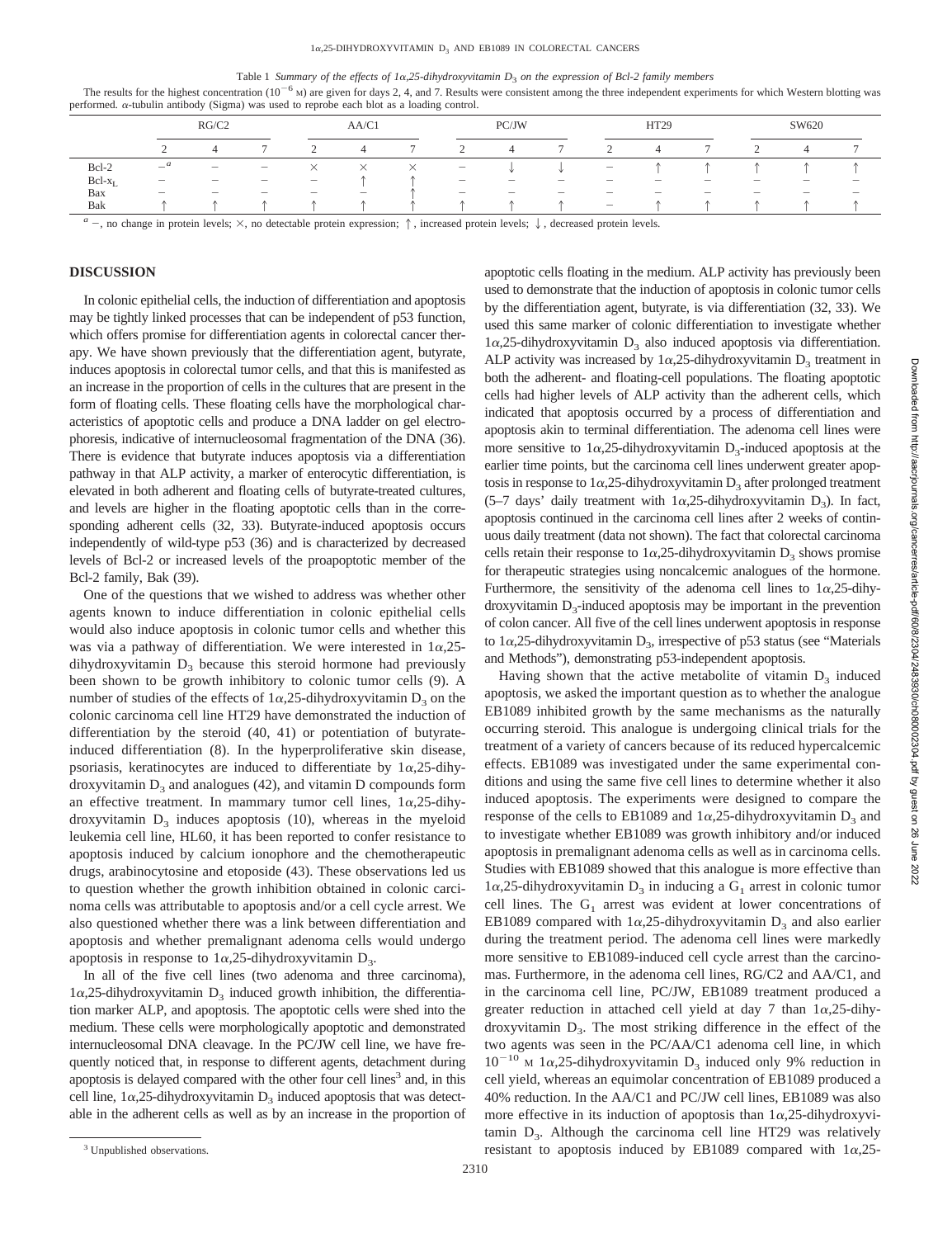#### Table 1 *Summary of the effects of 1*a*,25-dihydroxyvitamin D*3 *on the expression of Bcl-2 family members*

The results for the highest concentration  $(10^{-6}$  M) are given for days 2, 4, and 7. Results were consistent among the three independent experiments for which Western blotting was performed. <sup>a</sup>-tubulin antibody (Sigma) was used to reprobe each blot as a loading control.

|              | RG/C2                                                                                                                                                                                                                          |                                 |                          | AA/C1                                                                     |        |          | PC/JW                             |                          |                          | HT29                              |                          |                          | SW620                             |                          |                          |
|--------------|--------------------------------------------------------------------------------------------------------------------------------------------------------------------------------------------------------------------------------|---------------------------------|--------------------------|---------------------------------------------------------------------------|--------|----------|-----------------------------------|--------------------------|--------------------------|-----------------------------------|--------------------------|--------------------------|-----------------------------------|--------------------------|--------------------------|
|              | $\sim$                                                                                                                                                                                                                         |                                 |                          |                                                                           |        |          |                                   | 4                        |                          |                                   | 4                        |                          |                                   | 4                        |                          |
| Bcl-2        | $-$ <sup>a</sup>                                                                                                                                                                                                               | $\hspace{0.1mm}-\hspace{0.1mm}$ | $\qquad \qquad -$        | $\times$                                                                  | X      | $\times$ | $\overline{\phantom{m}}$          |                          |                          | $\hspace{1.0cm} - \hspace{1.0cm}$ |                          |                          |                                   |                          |                          |
| $Bcl-x_I$    | $\overline{\phantom{a}}$                                                                                                                                                                                                       | $\overline{\phantom{a}}$        | $\overline{\phantom{a}}$ | $\hspace{1.0cm} \rule{1.5cm}{0.15cm} \hspace{1.0cm} \rule{1.5cm}{0.15cm}$ |        |          | $\hspace{1.0cm} - \hspace{1.0cm}$ | $\overline{\phantom{a}}$ | $\overline{\phantom{a}}$ | $\overline{\phantom{a}}$          | $\overline{\phantom{a}}$ | $\overline{\phantom{a}}$ | $\hspace{1.0cm} - \hspace{1.0cm}$ | $\overline{\phantom{a}}$ | $\overline{\phantom{a}}$ |
| Bax          | $\overline{\phantom{m}}$                                                                                                                                                                                                       | $\sim$                          | $\sim$                   | $\overline{\phantom{a}}$                                                  | $\sim$ |          | $\overline{\phantom{a}}$          | $\sim$                   | $\sim$                   | $\overline{\phantom{a}}$          | $\sim$                   | $\overline{\phantom{a}}$ | $\sim$                            | $\sim$                   | $\overline{\phantom{a}}$ |
| Bak          |                                                                                                                                                                                                                                |                                 |                          |                                                                           |        |          |                                   |                          |                          | $\hspace{0.05cm}$                 |                          |                          |                                   |                          |                          |
| $\mathbf{a}$ | realist the contract of the contract of the contract of the contract of the contract of the contract of the contract of the contract of the contract of the contract of the contract of the contract of the contract of the co |                                 |                          |                                                                           |        |          |                                   |                          |                          |                                   |                          |                          |                                   |                          |                          |

 $-$ , no change in protein levels;  $\times$ , no detectable protein expression;  $\uparrow$ , increased protein levels.  $\downarrow$ , decreased protein levels.

## **DISCUSSION**

In colonic epithelial cells, the induction of differentiation and apoptosis may be tightly linked processes that can be independent of p53 function, which offers promise for differentiation agents in colorectal cancer therapy. We have shown previously that the differentiation agent, butyrate, induces apoptosis in colorectal tumor cells, and that this is manifested as an increase in the proportion of cells in the cultures that are present in the form of floating cells. These floating cells have the morphological characteristics of apoptotic cells and produce a DNA ladder on gel electrophoresis, indicative of internucleosomal fragmentation of the DNA (36). There is evidence that butyrate induces apoptosis via a differentiation pathway in that ALP activity, a marker of enterocytic differentiation, is elevated in both adherent and floating cells of butyrate-treated cultures, and levels are higher in the floating apoptotic cells than in the corresponding adherent cells (32, 33). Butyrate-induced apoptosis occurs independently of wild-type p53 (36) and is characterized by decreased levels of Bcl-2 or increased levels of the proapoptotic member of the Bcl-2 family, Bak (39).

One of the questions that we wished to address was whether other agents known to induce differentiation in colonic epithelial cells would also induce apoptosis in colonic tumor cells and whether this was via a pathway of differentiation. We were interested in  $1\alpha,25$ dihydroxyvitamin  $D_3$  because this steroid hormone had previously been shown to be growth inhibitory to colonic tumor cells (9). A number of studies of the effects of  $1\alpha$ , 25-dihydroxyvitamin  $D_3$  on the colonic carcinoma cell line HT29 have demonstrated the induction of differentiation by the steroid (40, 41) or potentiation of butyrateinduced differentiation (8). In the hyperproliferative skin disease, psoriasis, keratinocytes are induced to differentiate by  $1\alpha$ , 25-dihydroxyvitamin  $D_3$  and analogues (42), and vitamin D compounds form an effective treatment. In mammary tumor cell lines,  $1\alpha$ , 25-dihydroxyvitamin  $D_3$  induces apoptosis (10), whereas in the myeloid leukemia cell line, HL60, it has been reported to confer resistance to apoptosis induced by calcium ionophore and the chemotherapeutic drugs, arabinocytosine and etoposide (43). These observations led us to question whether the growth inhibition obtained in colonic carcinoma cells was attributable to apoptosis and/or a cell cycle arrest. We also questioned whether there was a link between differentiation and apoptosis and whether premalignant adenoma cells would undergo apoptosis in response to  $1\alpha$ , 25-dihydroxyvitamin D<sub>3</sub>.

In all of the five cell lines (two adenoma and three carcinoma),  $1\alpha$ ,25-dihydroxyvitamin D<sub>3</sub> induced growth inhibition, the differentiation marker ALP, and apoptosis. The apoptotic cells were shed into the medium. These cells were morphologically apoptotic and demonstrated internucleosomal DNA cleavage. In the PC/JW cell line, we have frequently noticed that, in response to different agents, detachment during apoptosis is delayed compared with the other four cell lines<sup>3</sup> and, in this cell line,  $1\alpha$ , 25-dihydroxyvitamin  $D_3$  induced apoptosis that was detectable in the adherent cells as well as by an increase in the proportion of apoptotic cells floating in the medium. ALP activity has previously been used to demonstrate that the induction of apoptosis in colonic tumor cells by the differentiation agent, butyrate, is via differentiation (32, 33). We used this same marker of colonic differentiation to investigate whether  $1\alpha$ ,25-dihydroxyvitamin D<sub>3</sub> also induced apoptosis via differentiation. ALP activity was increased by  $1\alpha$ , 25-dihydroxyvitamin D<sub>3</sub> treatment in both the adherent- and floating-cell populations. The floating apoptotic cells had higher levels of ALP activity than the adherent cells, which indicated that apoptosis occurred by a process of differentiation and apoptosis akin to terminal differentiation. The adenoma cell lines were more sensitive to  $1\alpha$ , 25-dihydroxyvitamin D<sub>3</sub>-induced apoptosis at the earlier time points, but the carcinoma cell lines underwent greater apoptosis in response to  $1\alpha$ , 25-dihydroxyvitamin  $D_3$  after prolonged treatment (5–7 days' daily treatment with  $1\alpha$ , 25-dihydroxyvitamin D<sub>3</sub>). In fact, apoptosis continued in the carcinoma cell lines after 2 weeks of continuous daily treatment (data not shown). The fact that colorectal carcinoma cells retain their response to  $1\alpha$ , 25-dihydroxyvitamin D<sub>3</sub> shows promise for therapeutic strategies using noncalcemic analogues of the hormone. Furthermore, the sensitivity of the adenoma cell lines to  $1\alpha,25$ -dihydroxyvitamin  $D_3$ -induced apoptosis may be important in the prevention of colon cancer. All five of the cell lines underwent apoptosis in response to  $1\alpha$ , 25-dihydroxyvitamin D<sub>3</sub>, irrespective of p53 status (see "Materials") and Methods"), demonstrating p53-independent apoptosis.

Having shown that the active metabolite of vitamin  $D_3$  induced apoptosis, we asked the important question as to whether the analogue EB1089 inhibited growth by the same mechanisms as the naturally occurring steroid. This analogue is undergoing clinical trials for the treatment of a variety of cancers because of its reduced hypercalcemic effects. EB1089 was investigated under the same experimental conditions and using the same five cell lines to determine whether it also induced apoptosis. The experiments were designed to compare the response of the cells to EB1089 and  $1\alpha$ , 25-dihydroxyvitamin D<sub>3</sub> and to investigate whether EB1089 was growth inhibitory and/or induced apoptosis in premalignant adenoma cells as well as in carcinoma cells. Studies with EB1089 showed that this analogue is more effective than  $1\alpha$ ,25-dihydroxyvitamin D<sub>3</sub> in inducing a G<sub>1</sub> arrest in colonic tumor cell lines. The  $G_1$  arrest was evident at lower concentrations of EB1089 compared with  $1\alpha$ ,25-dihydroxyvitamin  $D_3$  and also earlier during the treatment period. The adenoma cell lines were markedly more sensitive to EB1089-induced cell cycle arrest than the carcinomas. Furthermore, in the adenoma cell lines, RG/C2 and AA/C1, and in the carcinoma cell line, PC/JW, EB1089 treatment produced a greater reduction in attached cell yield at day 7 than  $1\alpha$ , 25-dihydroxyvitamin  $D_3$ . The most striking difference in the effect of the two agents was seen in the PC/AA/C1 adenoma cell line, in which  $10^{-10}$  M 1 $\alpha$ , 25-dihydroxyvitamin D<sub>3</sub> induced only 9% reduction in cell yield, whereas an equimolar concentration of EB1089 produced a 40% reduction. In the AA/C1 and PC/JW cell lines, EB1089 was also more effective in its induction of apoptosis than  $1\alpha$ ,25-dihydroxyvitamin  $D_3$ . Although the carcinoma cell line HT29 was relatively <sup>3</sup> Unpublished observations. The set of apoptosis induced by EB1089 compared with  $1\alpha$ , 25- 3 Unpublished observations.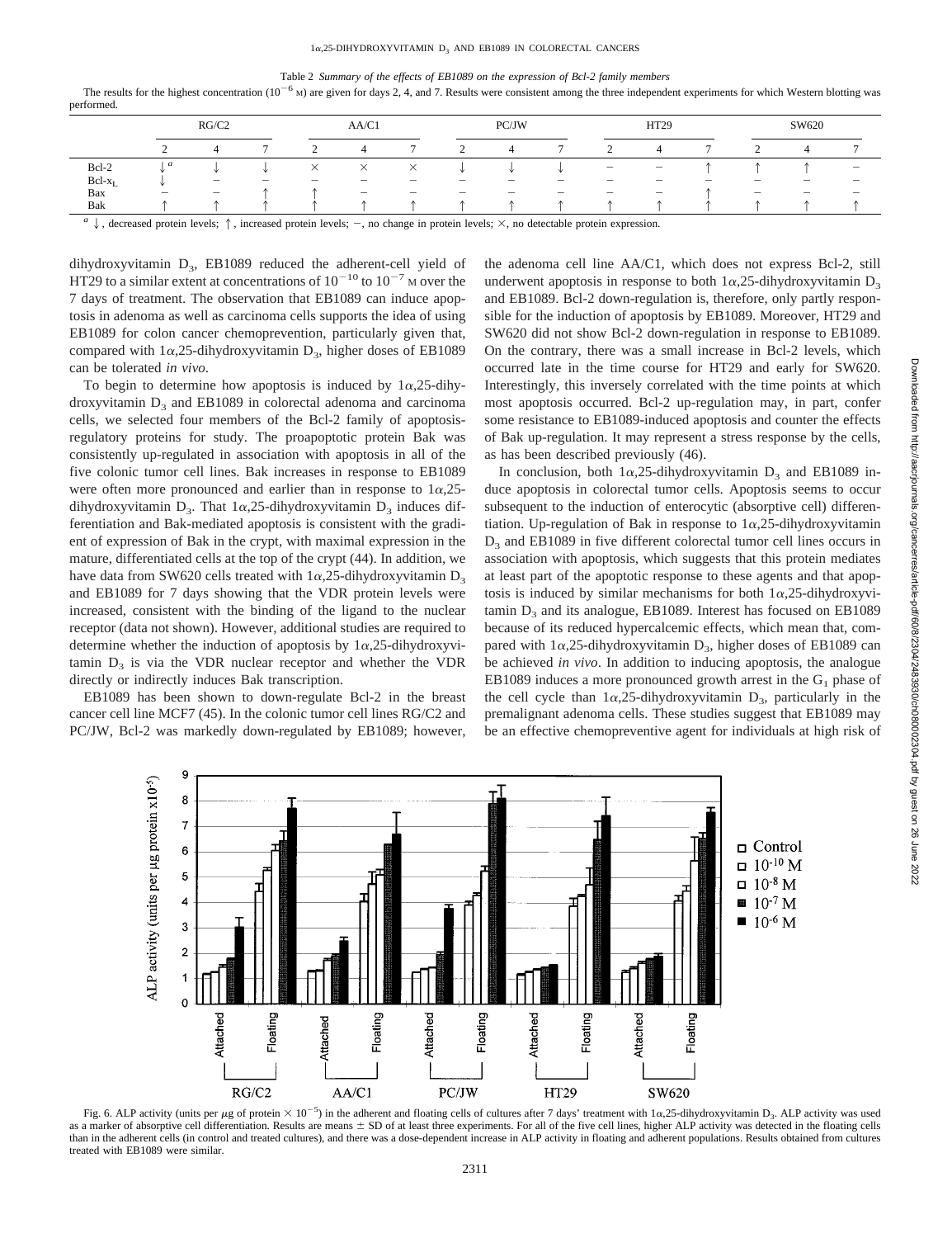#### Table 2 *Summary of the effects of EB1089 on the expression of Bcl-2 family members*

The results for the highest concentration  $(10^{-6}$  M) are given for days 2, 4, and 7. Results were consistent among the three independent experiments for which Western blotting was performed.

|                             | RG/C2                                                                     |                          |        | AA/C1                              |   |                          | PC/JW                    |                          |                          | HT29                     |                                   |   | SW620                           |                          |                          |
|-----------------------------|---------------------------------------------------------------------------|--------------------------|--------|------------------------------------|---|--------------------------|--------------------------|--------------------------|--------------------------|--------------------------|-----------------------------------|---|---------------------------------|--------------------------|--------------------------|
|                             | ◠<br>∸                                                                    |                          |        |                                    | д | $\overline{ }$           |                          | 4                        |                          |                          | 4                                 |   |                                 |                          |                          |
| Bcl-2                       | a                                                                         |                          |        | ∧                                  | ∧ | $\times$                 |                          |                          |                          | $\overline{\phantom{a}}$ | $\overline{\phantom{a}}$          |   |                                 |                          | $\overline{\phantom{a}}$ |
| $Bcl-x_L$                   |                                                                           | $\overline{\phantom{a}}$ | $\sim$ | $\sim$                             | - | $\overline{\phantom{a}}$ | $\overline{\phantom{a}}$ | $\overline{\phantom{a}}$ | -                        | $\sim$                   | $\overline{\phantom{a}}$          | - | $\overline{\phantom{a}}$        | $\sim$                   | $\overline{\phantom{a}}$ |
| Bax                         | $\hspace{1.0cm} \rule{1.5cm}{0.15cm} \hspace{1.0cm} \rule{1.5cm}{0.15cm}$ | $\overline{\phantom{a}}$ |        |                                    |   | $\overline{\phantom{a}}$ | $\overline{\phantom{a}}$ | $\overline{\phantom{a}}$ | $\overline{\phantom{a}}$ | $\overline{\phantom{a}}$ | $\hspace{1.0cm} - \hspace{1.0cm}$ |   | $\hspace{0.1mm}-\hspace{0.1mm}$ | $\overline{\phantom{0}}$ | $\overline{\phantom{a}}$ |
| Bak                         |                                                                           |                          |        |                                    |   |                          |                          |                          |                          |                          |                                   |   |                                 |                          |                          |
| $\alpha$ $\alpha$<br>$\sim$ |                                                                           | .                        |        | $\sim$ $\sim$ $\sim$ $\sim$ $\sim$ |   | $\sim$                   |                          |                          |                          |                          | $\sim$                            |   |                                 |                          |                          |

 $\downarrow$ , decreased protein levels;  $\uparrow$ , increased protein levels;  $-$ , no change in protein levels;  $\times$ , no detectable protein expression.

dihydroxyvitamin  $D_3$ , EB1089 reduced the adherent-cell yield of HT29 to a similar extent at concentrations of  $10^{-10}$  to  $10^{-7}$  M over the 7 days of treatment. The observation that EB1089 can induce apoptosis in adenoma as well as carcinoma cells supports the idea of using EB1089 for colon cancer chemoprevention, particularly given that, compared with  $1\alpha$ , 25-dihydroxyvitamin  $D_3$ , higher doses of EB1089 can be tolerated *in vivo*.

To begin to determine how apoptosis is induced by  $1\alpha$ , 25-dihydroxyvitamin  $D_3$  and EB1089 in colorectal adenoma and carcinoma cells, we selected four members of the Bcl-2 family of apoptosisregulatory proteins for study. The proapoptotic protein Bak was consistently up-regulated in association with apoptosis in all of the five colonic tumor cell lines. Bak increases in response to EB1089 were often more pronounced and earlier than in response to  $1\alpha,25$ dihydroxyvitamin D<sub>3</sub>. That  $1\alpha$ , 25-dihydroxyvitamin D<sub>3</sub> induces differentiation and Bak-mediated apoptosis is consistent with the gradient of expression of Bak in the crypt, with maximal expression in the mature, differentiated cells at the top of the crypt (44). In addition, we have data from SW620 cells treated with  $1\alpha$ , 25-dihydroxyvitamin D<sub>3</sub> and EB1089 for 7 days showing that the VDR protein levels were increased, consistent with the binding of the ligand to the nuclear receptor (data not shown). However, additional studies are required to determine whether the induction of apoptosis by  $1\alpha$ ,25-dihydroxyvitamin  $D_3$  is via the VDR nuclear receptor and whether the VDR directly or indirectly induces Bak transcription.

EB1089 has been shown to down-regulate Bcl-2 in the breast cancer cell line MCF7 (45). In the colonic tumor cell lines RG/C2 and PC/JW, Bcl-2 was markedly down-regulated by EB1089; however, the adenoma cell line AA/C1, which does not express Bcl-2, still underwent apoptosis in response to both  $1\alpha$ , 25-dihydroxyvitamin D<sub>3</sub> and EB1089. Bcl-2 down-regulation is, therefore, only partly responsible for the induction of apoptosis by EB1089. Moreover, HT29 and SW620 did not show Bcl-2 down-regulation in response to EB1089. On the contrary, there was a small increase in Bcl-2 levels, which occurred late in the time course for HT29 and early for SW620. Interestingly, this inversely correlated with the time points at which most apoptosis occurred. Bcl-2 up-regulation may, in part, confer some resistance to EB1089-induced apoptosis and counter the effects of Bak up-regulation. It may represent a stress response by the cells, as has been described previously (46).

In conclusion, both  $1\alpha$ , 25-dihydroxyvitamin  $D_3$  and EB1089 induce apoptosis in colorectal tumor cells. Apoptosis seems to occur subsequent to the induction of enterocytic (absorptive cell) differentiation. Up-regulation of Bak in response to  $1\alpha$ , 25-dihydroxyvitamin D<sub>3</sub> and EB1089 in five different colorectal tumor cell lines occurs in association with apoptosis, which suggests that this protein mediates at least part of the apoptotic response to these agents and that apoptosis is induced by similar mechanisms for both  $1\alpha$ ,25-dihydroxyvitamin  $D_3$  and its analogue, EB1089. Interest has focused on EB1089 because of its reduced hypercalcemic effects, which mean that, compared with  $1\alpha$ ,25-dihydroxyvitamin  $D_3$ , higher doses of EB1089 can be achieved *in vivo*. In addition to inducing apoptosis, the analogue EB1089 induces a more pronounced growth arrest in the  $G_1$  phase of the cell cycle than  $1\alpha$ , 25-dihydroxyvitamin  $D_3$ , particularly in the premalignant adenoma cells. These studies suggest that EB1089 may be an effective chemopreventive agent for individuals at high risk of



Fig. 6. ALP activity (units per  $\mu$ g of protein  $\times 10^{-5}$ ) in the adherent and floating cells of cultures after 7 days' treatment with  $1\alpha$ , 25-dihydroxyvitamin D<sub>3</sub>. ALP activity was used as a marker of absorptive cell differentiation. Results are means  $\pm$  SD of at least three experiments. For all of the five cell lines, higher ALP activity was detected in the floating cells than in the adherent cells (in control and treated cultures), and there was a dose-dependent increase in ALP activity in floating and adherent populations. Results obtained from cultures treated with EB1089 were similar.